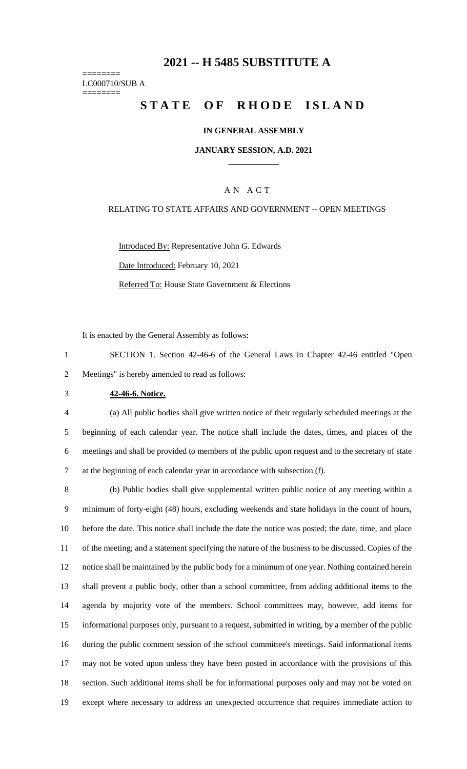## **-- H 5485 SUBSTITUTE A**

======== LC000710/SUB A ========

# **STATE OF RHODE ISLAND**

#### **IN GENERAL ASSEMBLY**

#### **JANUARY SESSION, A.D. 2021 \_\_\_\_\_\_\_\_\_\_\_\_**

### A N A C T

#### RELATING TO STATE AFFAIRS AND GOVERNMENT -- OPEN MEETINGS

Introduced By: Representative John G. Edwards Date Introduced: February 10, 2021 Referred To: House State Government & Elections

It is enacted by the General Assembly as follows:

 SECTION 1. Section 42-46-6 of the General Laws in Chapter 42-46 entitled "Open Meetings" is hereby amended to read as follows:

#### **42-46-6. Notice.**

 (a) All public bodies shall give written notice of their regularly scheduled meetings at the beginning of each calendar year. The notice shall include the dates, times, and places of the meetings and shall be provided to members of the public upon request and to the secretary of state at the beginning of each calendar year in accordance with subsection (f).

 (b) Public bodies shall give supplemental written public notice of any meeting within a minimum of forty-eight (48) hours, excluding weekends and state holidays in the count of hours, before the date. This notice shall include the date the notice was posted; the date, time, and place of the meeting; and a statement specifying the nature of the business to be discussed. Copies of the notice shall be maintained by the public body for a minimum of one year. Nothing contained herein shall prevent a public body, other than a school committee, from adding additional items to the agenda by majority vote of the members. School committees may, however, add items for informational purposes only, pursuant to a request, submitted in writing, by a member of the public during the public comment session of the school committee's meetings. Said informational items may not be voted upon unless they have been posted in accordance with the provisions of this section. Such additional items shall be for informational purposes only and may not be voted on except where necessary to address an unexpected occurrence that requires immediate action to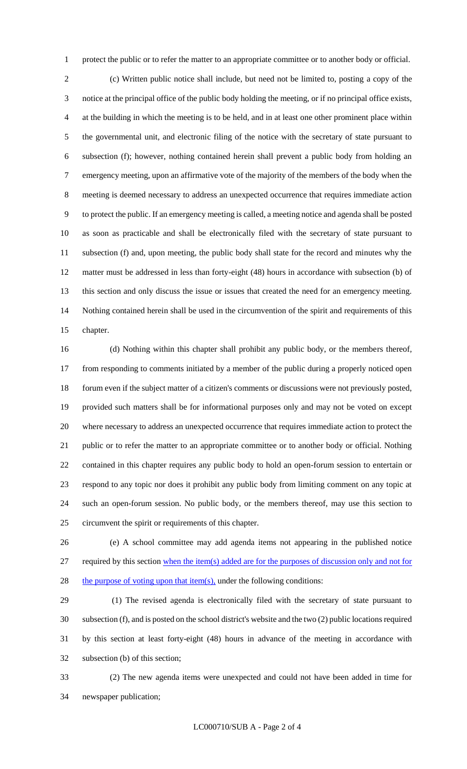protect the public or to refer the matter to an appropriate committee or to another body or official.

 (c) Written public notice shall include, but need not be limited to, posting a copy of the notice at the principal office of the public body holding the meeting, or if no principal office exists, at the building in which the meeting is to be held, and in at least one other prominent place within the governmental unit, and electronic filing of the notice with the secretary of state pursuant to subsection (f); however, nothing contained herein shall prevent a public body from holding an emergency meeting, upon an affirmative vote of the majority of the members of the body when the meeting is deemed necessary to address an unexpected occurrence that requires immediate action to protect the public. If an emergency meeting is called, a meeting notice and agenda shall be posted as soon as practicable and shall be electronically filed with the secretary of state pursuant to subsection (f) and, upon meeting, the public body shall state for the record and minutes why the matter must be addressed in less than forty-eight (48) hours in accordance with subsection (b) of this section and only discuss the issue or issues that created the need for an emergency meeting. Nothing contained herein shall be used in the circumvention of the spirit and requirements of this chapter.

 (d) Nothing within this chapter shall prohibit any public body, or the members thereof, from responding to comments initiated by a member of the public during a properly noticed open forum even if the subject matter of a citizen's comments or discussions were not previously posted, provided such matters shall be for informational purposes only and may not be voted on except where necessary to address an unexpected occurrence that requires immediate action to protect the public or to refer the matter to an appropriate committee or to another body or official. Nothing contained in this chapter requires any public body to hold an open-forum session to entertain or respond to any topic nor does it prohibit any public body from limiting comment on any topic at such an open-forum session. No public body, or the members thereof, may use this section to circumvent the spirit or requirements of this chapter.

 (e) A school committee may add agenda items not appearing in the published notice required by this section when the item(s) added are for the purposes of discussion only and not for 28 the purpose of voting upon that item(s), under the following conditions:

 (1) The revised agenda is electronically filed with the secretary of state pursuant to subsection (f), and is posted on the school district's website and the two (2) public locations required by this section at least forty-eight (48) hours in advance of the meeting in accordance with subsection (b) of this section;

 (2) The new agenda items were unexpected and could not have been added in time for newspaper publication;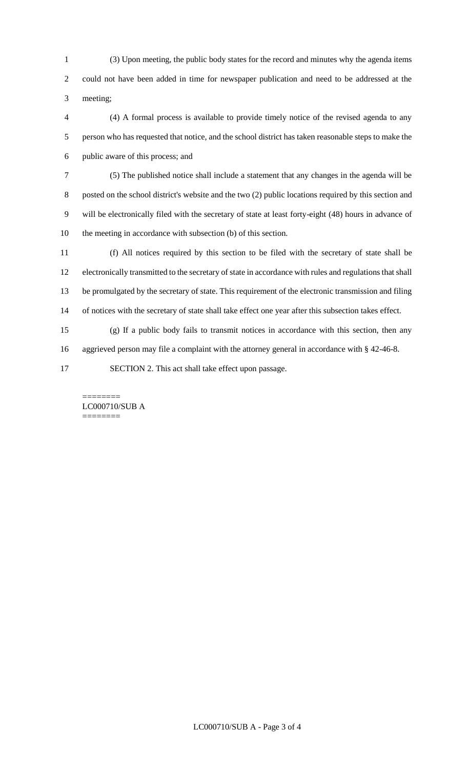(3) Upon meeting, the public body states for the record and minutes why the agenda items could not have been added in time for newspaper publication and need to be addressed at the meeting;

 (4) A formal process is available to provide timely notice of the revised agenda to any person who has requested that notice, and the school district has taken reasonable steps to make the public aware of this process; and

 (5) The published notice shall include a statement that any changes in the agenda will be posted on the school district's website and the two (2) public locations required by this section and will be electronically filed with the secretary of state at least forty-eight (48) hours in advance of the meeting in accordance with subsection (b) of this section.

 (f) All notices required by this section to be filed with the secretary of state shall be electronically transmitted to the secretary of state in accordance with rules and regulations that shall be promulgated by the secretary of state. This requirement of the electronic transmission and filing of notices with the secretary of state shall take effect one year after this subsection takes effect.

 (g) If a public body fails to transmit notices in accordance with this section, then any aggrieved person may file a complaint with the attorney general in accordance with § 42-46-8.

SECTION 2. This act shall take effect upon passage.

======== LC000710/SUB A ========